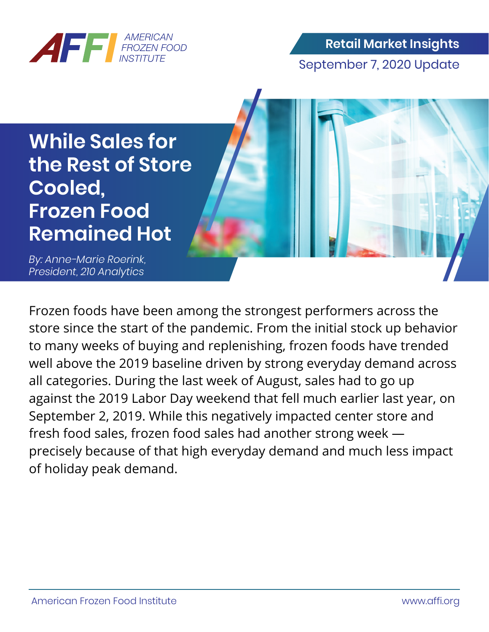

**Retail Market Insights** September 7, 2020 Update

**While Sales for the Rest of Store Cooled, Frozen Food Remained Hot**

*By: Anne-Marie Roerink, President, 210 Analytics* 

Frozen foods have been among the strongest performers across the store since the start of the pandemic. From the initial stock up behavior to many weeks of buying and replenishing, frozen foods have trended well above the 2019 baseline driven by strong everyday demand across all categories. During the last week of August, sales had to go up against the 2019 Labor Day weekend that fell much earlier last year, on September 2, 2019. While this negatively impacted center store and fresh food sales, frozen food sales had another strong week precisely because of that high everyday demand and much less impact of holiday peak demand.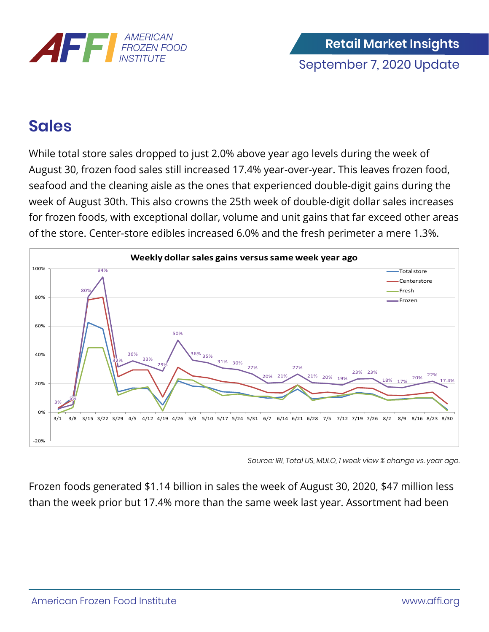

## **Sales**

While total store sales dropped to just 2.0% above year ago levels during the week of August 30, frozen food sales still increased 17.4% year-over-year. This leaves frozen food, seafood and the cleaning aisle as the ones that experienced double-digit gains during the week of August 30th. This also crowns the 25th week of double-digit dollar sales increases for frozen foods, with exceptional dollar, volume and unit gains that far exceed other areas of the store. Center-store edibles increased 6.0% and the fresh perimeter a mere 1.3%.



*Source: IRI, Total US, MULO, 1 week view % change vs. year ago.*

Frozen foods generated \$1.14 billion in sales the week of August 30, 2020, \$47 million less than the week prior but 17.4% more than the same week last year. Assortment had been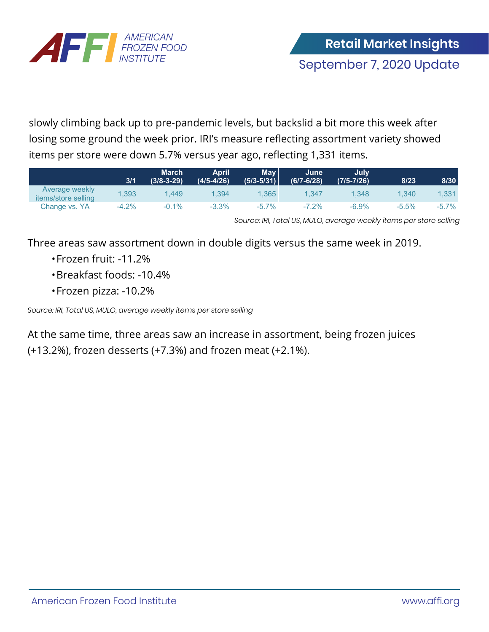

slowly climbing back up to pre-pandemic levels, but backslid a bit more this week after losing some ground the week prior. IRI's measure reflecting assortment variety showed items per store were down 5.7% versus year ago, reflecting 1,331 items.

|                                                     | 3/1     | <b>March</b><br>$(3/8 - 3 - 29)$ | <b>April</b><br>(4/5-4/26) | <b>May</b><br>$(5/3 - 5/31)$ | June<br>$(6/7 - 6/28)$ | July<br>$(7/5 - 7/26)$ | 8/23     | 8/30     |
|-----------------------------------------------------|---------|----------------------------------|----------------------------|------------------------------|------------------------|------------------------|----------|----------|
| <b>Average weekly</b><br><i>items/store selling</i> | 1,393   | .449                             | 1,394                      | 1,365                        | .347                   | 1.348                  | 1.340    | 1,331    |
| Change vs. YA                                       | $-4.2%$ | $-0.1\%$                         | $-3.3%$                    | $-5.7\%$                     | $-7.2\%$               | $-6.9\%$               | $-5.5\%$ | $-5.7\%$ |

*Source: IRI, Total US, MULO, average weekly items per store selling*

Three areas saw assortment down in double digits versus the same week in 2019.

- Frozen fruit: -11.2%
- Breakfast foods: -10.4%
- Frozen pizza: -10.2%

*Source: IRI, Total US, MULO, average weekly items per store selling*

At the same time, three areas saw an increase in assortment, being frozen juices (+13.2%), frozen desserts (+7.3%) and frozen meat (+2.1%).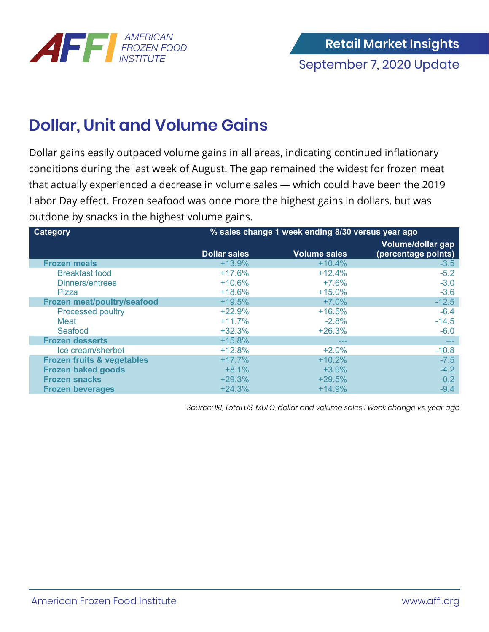

## **Dollar, Unit and Volume Gains**

Dollar gains easily outpaced volume gains in all areas, indicating continued inflationary conditions during the last week of August. The gap remained the widest for frozen meat that actually experienced a decrease in volume sales — which could have been the 2019 Labor Day effect. Frozen seafood was once more the highest gains in dollars, but was outdone by snacks in the highest volume gains.

| <b>Category</b>                       | % sales change 1 week ending 8/30 versus year ago |                     |                     |  |  |  |
|---------------------------------------|---------------------------------------------------|---------------------|---------------------|--|--|--|
|                                       |                                                   |                     | Volume/dollar gap   |  |  |  |
|                                       | <b>Dollar sales</b>                               | <b>Volume sales</b> | (percentage points) |  |  |  |
| <b>Frozen meals</b>                   | $+13.9%$                                          | $+10.4%$            | $-3.5$              |  |  |  |
| <b>Breakfast food</b>                 | $+17.6%$                                          | $+12.4%$            | $-5.2$              |  |  |  |
| Dinners/entrees                       | $+10.6%$                                          | $+7.6%$             | $-3.0$              |  |  |  |
| Pizza                                 | $+18.6%$                                          | $+15.0%$            | $-3.6$              |  |  |  |
| Frozen meat/poultry/seafood           | $+19.5%$                                          | $+7.0%$             | $-12.5$             |  |  |  |
| <b>Processed poultry</b>              | $+22.9%$                                          | $+16.5%$            | $-6.4$              |  |  |  |
| Meat                                  | $+11.7%$                                          | $-2.8%$             | $-14.5$             |  |  |  |
| Seafood                               | $+32.3%$                                          | $+26.3%$            | $-6.0$              |  |  |  |
| <b>Frozen desserts</b>                | $+15.8%$                                          | ---                 | $\frac{1}{2}$       |  |  |  |
| Ice cream/sherbet                     | $+12.8%$                                          | $+2.0%$             | $-10.8$             |  |  |  |
| <b>Frozen fruits &amp; vegetables</b> | $+17.7%$                                          | $+10.2%$            | $-7.5$              |  |  |  |
| <b>Frozen baked goods</b>             | $+8.1%$                                           | $+3.9%$             | $-4.2$              |  |  |  |
| <b>Frozen snacks</b>                  | $+29.3%$                                          | $+29.5%$            | $-0.2$              |  |  |  |
| <b>Frozen beverages</b>               | $+24.3%$                                          | $+14.9%$            | $-9.4$              |  |  |  |

*Source: IRI, Total US, MULO, dollar and volume sales 1 week change vs. year ago*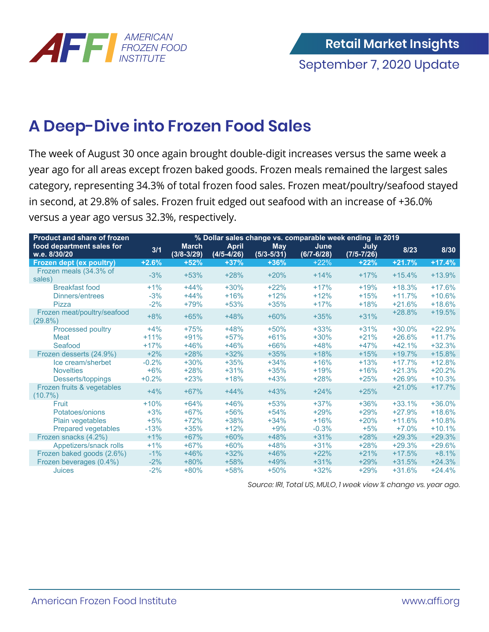

## **A Deep-Dive into Frozen Food Sales**

The week of August 30 once again brought double-digit increases versus the same week a year ago for all areas except frozen baked goods. Frozen meals remained the largest sales category, representing 34.3% of total frozen food sales. Frozen meat/poultry/seafood stayed in second, at 29.8% of sales. Frozen fruit edged out seafood with an increase of +36.0% versus a year ago versus 32.3%, respectively.

| <b>Product and share of frozen</b>        | % Dollar sales change vs. comparable week ending in 2019 |                                |                                |                              |                        |                        |          |          |
|-------------------------------------------|----------------------------------------------------------|--------------------------------|--------------------------------|------------------------------|------------------------|------------------------|----------|----------|
| food department sales for<br>w.e. 8/30/20 | 3/1                                                      | <b>March</b><br>$(3/8 - 3/29)$ | <b>April</b><br>$(4/5 - 4/26)$ | <b>May</b><br>$(5/3 - 5/31)$ | June<br>$(6/7 - 6/28)$ | July<br>$(7/5 - 7/26)$ | 8/23     | 8/30     |
| Frozen dept (ex poultry)                  | $+2.6%$                                                  | $+52%$                         | $+37%$                         | $+36%$                       | $+22%$                 | $+22%$                 | $+21.7%$ | $+17.4%$ |
| Frozen meals (34.3% of<br>sales)          | $-3%$                                                    | $+53%$                         | $+28%$                         | $+20%$                       | $+14%$                 | $+17%$                 | $+15.4%$ | $+13.9%$ |
| <b>Breakfast food</b>                     | $+1%$                                                    | $+44%$                         | $+30%$                         | $+22%$                       | $+17%$                 | $+19%$                 | $+18.3%$ | $+17.6%$ |
| Dinners/entrees                           | $-3%$                                                    | $+44%$                         | $+16%$                         | $+12%$                       | $+12%$                 | $+15%$                 | $+11.7%$ | $+10.6%$ |
| Pizza                                     | $-2%$                                                    | $+79%$                         | $+53%$                         | $+35%$                       | $+17%$                 | $+18%$                 | $+21.6%$ | $+18.6%$ |
| Frozen meat/poultry/seafood<br>$(29.8\%)$ | $+8%$                                                    | $+65%$                         | $+48%$                         | $+60%$                       | $+35%$                 | $+31%$                 | $+28.8%$ | $+19.5%$ |
| <b>Processed poultry</b>                  | $+4%$                                                    | $+75%$                         | $+48%$                         | $+50%$                       | $+33%$                 | $+31%$                 | $+30.0%$ | $+22.9%$ |
| Meat                                      | $+11%$                                                   | $+91%$                         | $+57%$                         | $+61%$                       | $+30%$                 | $+21%$                 | $+26.6%$ | $+11.7%$ |
| Seafood                                   | $+17%$                                                   | $+46%$                         | $+46%$                         | $+66%$                       | $+48%$                 | $+47%$                 | $+42.1%$ | $+32.3%$ |
| Frozen desserts (24.9%)                   | $+2%$                                                    | $+28%$                         | $+32%$                         | $+35%$                       | $+18%$                 | $+15%$                 | $+19.7%$ | $+15.8%$ |
| Ice cream/sherbet                         | $-0.2%$                                                  | $+30%$                         | $+35%$                         | $+34%$                       | $+16%$                 | $+13%$                 | $+17.7%$ | $+12.8%$ |
| <b>Novelties</b>                          | $+6%$                                                    | $+28%$                         | $+31%$                         | $+35%$                       | $+19%$                 | $+16%$                 | $+21.3%$ | $+20.2%$ |
| Desserts/toppings                         | $+0.2%$                                                  | $+23%$                         | $+18%$                         | $+43%$                       | $+28%$                 | $+25%$                 | $+26.9%$ | $+10.3%$ |
| Frozen fruits & vegetables<br>$(10.7\%)$  | $+4%$                                                    | $+67%$                         | $+44%$                         | $+43%$                       | $+24%$                 | $+25%$                 | $+21.0%$ | $+17.7%$ |
| Fruit                                     | $+10%$                                                   | $+64%$                         | $+46%$                         | $+53%$                       | $+37%$                 | $+36%$                 | $+33.1%$ | $+36.0%$ |
| Potatoes/onions                           | $+3%$                                                    | $+67%$                         | $+56%$                         | $+54%$                       | $+29%$                 | $+29%$                 | $+27.9%$ | $+18.6%$ |
| Plain vegetables                          | $+5%$                                                    | $+72%$                         | $+38%$                         | $+34%$                       | $+16%$                 | $+20%$                 | $+11.6%$ | $+10.8%$ |
| <b>Prepared vegetables</b>                | $-13%$                                                   | $+35%$                         | $+12%$                         | $+9%$                        | $-0.3%$                | $+5%$                  | $+7.0%$  | $+10.1%$ |
| Frozen snacks (4.2%)                      | $+1%$                                                    | $+67%$                         | $+60%$                         | $+48%$                       | $+31%$                 | $+28%$                 | $+29.3%$ | $+29.3%$ |
| Appetizers/snack rolls                    | $+1%$                                                    | $+67%$                         | $+60%$                         | $+48%$                       | $+31%$                 | $+28%$                 | $+29.3%$ | $+29.6%$ |
| Frozen baked goods (2.6%)                 | $-1\%$                                                   | $+46%$                         | $+32%$                         | $+46%$                       | $+22%$                 | $+21%$                 | $+17.5%$ | $+8.1%$  |
| Frozen beverages (0.4%)                   | $-2%$                                                    | $+80%$                         | $+58%$                         | $+49%$                       | $+31%$                 | $+29%$                 | $+31.5%$ | $+24.3%$ |
| Juices                                    | $-2%$                                                    | $+80%$                         | $+58%$                         | $+50%$                       | $+32%$                 | $+29%$                 | $+31.6%$ | $+24.4%$ |

*Source: IRI, Total US, MULO, 1 week view % change vs. year ago.*